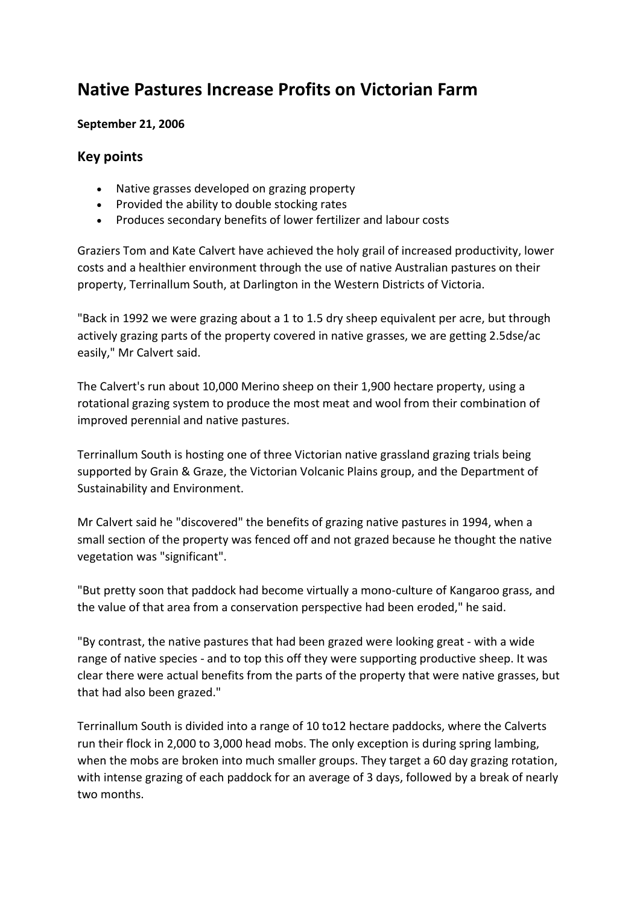## **Native Pastures Increase Profits on Victorian Farm**

## **September 21, 2006**

## **Key points**

- Native grasses developed on grazing property
- Provided the ability to double stocking rates
- Produces secondary benefits of lower fertilizer and labour costs

Graziers Tom and Kate Calvert have achieved the holy grail of increased productivity, lower costs and a healthier environment through the use of native Australian pastures on their property, Terrinallum South, at Darlington in the Western Districts of Victoria.

"Back in 1992 we were grazing about a 1 to 1.5 dry sheep equivalent per acre, but through actively grazing parts of the property covered in native grasses, we are getting 2.5dse/ac easily," Mr Calvert said.

The Calvert's run about 10,000 Merino sheep on their 1,900 hectare property, using a rotational grazing system to produce the most meat and wool from their combination of improved perennial and native pastures.

Terrinallum South is hosting one of three Victorian native grassland grazing trials being supported by Grain & Graze, the Victorian Volcanic Plains group, and the Department of Sustainability and Environment.

Mr Calvert said he "discovered" the benefits of grazing native pastures in 1994, when a small section of the property was fenced off and not grazed because he thought the native vegetation was "significant".

"But pretty soon that paddock had become virtually a mono-culture of Kangaroo grass, and the value of that area from a conservation perspective had been eroded," he said.

"By contrast, the native pastures that had been grazed were looking great - with a wide range of native species - and to top this off they were supporting productive sheep. It was clear there were actual benefits from the parts of the property that were native grasses, but that had also been grazed."

Terrinallum South is divided into a range of 10 to12 hectare paddocks, where the Calverts run their flock in 2,000 to 3,000 head mobs. The only exception is during spring lambing, when the mobs are broken into much smaller groups. They target a 60 day grazing rotation, with intense grazing of each paddock for an average of 3 days, followed by a break of nearly two months.